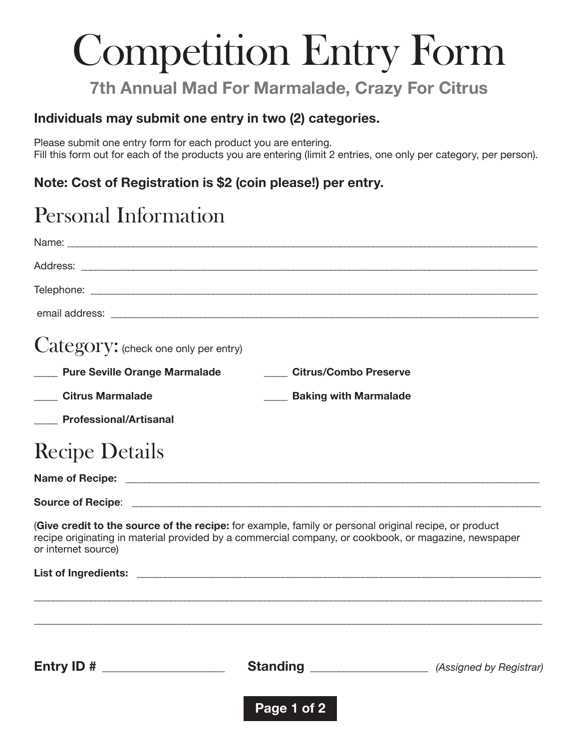# Competition Entry Form

### **7th Annual Mad For Marmalade, Crazy For Citrus**

#### **Individuals may submit one entry in two (2) categories.**

Please submit one entry form for each product you are entering. Fill this form out for each of the products you are entering (limit 2 entries, one only per category, per person).

#### **Note: Cost of Registration is \$2 (coin please!) per entry.**

### Personal Information

| Category: (check one only per entry)                                                                                                                                                                                                 |                                      |  |
|--------------------------------------------------------------------------------------------------------------------------------------------------------------------------------------------------------------------------------------|--------------------------------------|--|
| <b>Pure Seville Orange Marmalade</b>                                                                                                                                                                                                 | <b>Citrus/Combo Preserve</b>         |  |
| <b>Citrus Marmalade</b>                                                                                                                                                                                                              | <b>EXAMPLE Baking with Marmalade</b> |  |
| <b>Professional/Artisanal</b>                                                                                                                                                                                                        |                                      |  |
| <b>Recipe Details</b>                                                                                                                                                                                                                |                                      |  |
|                                                                                                                                                                                                                                      |                                      |  |
|                                                                                                                                                                                                                                      |                                      |  |
| (Give credit to the source of the recipe: for example, family or personal original recipe, or product<br>recipe originating in material provided by a commercial company, or cookbook, or magazine, newspaper<br>or internet source) |                                      |  |
|                                                                                                                                                                                                                                      |                                      |  |
|                                                                                                                                                                                                                                      |                                      |  |
|                                                                                                                                                                                                                                      |                                      |  |
|                                                                                                                                                                                                                                      | Page 1 of 2                          |  |